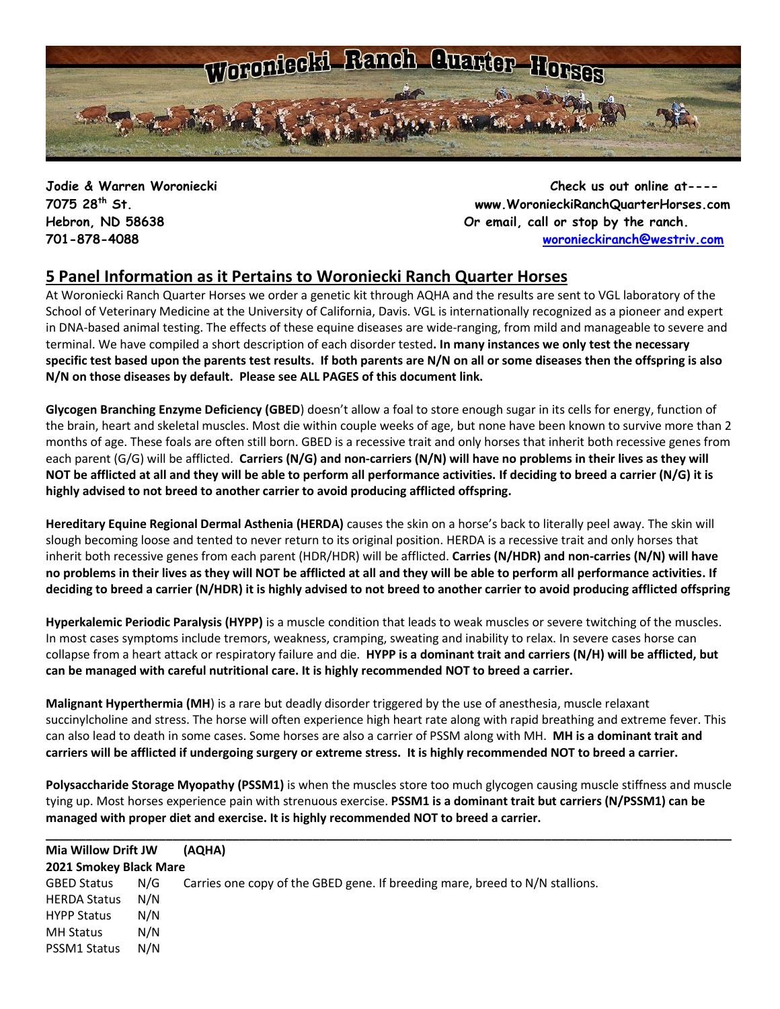

**Jodie & Warren Woroniecki Check us out online at---- 7075 28th St. www.WoronieckiRanchQuarterHorses.com Hebron, ND 58638 Or email, call or stop by the ranch. 701-878-4088 [woronieckiranch@westriv.com](mailto:woronieckiranch@westriv.com)**

# **5 Panel Information as it Pertains to Woroniecki Ranch Quarter Horses**

At Woroniecki Ranch Quarter Horses we order a genetic kit through AQHA and the results are sent to VGL laboratory of the School of Veterinary Medicine at the University of California, Davis. VGL is internationally recognized as a pioneer and expert in DNA-based animal testing. The [effects of these equine diseases](http://americashorsedaily.com/genetic-test-round-up) are wide-ranging, from mild and manageable to severe and terminal. We have compiled a short description of each disorder tested**. In many instances we only test the necessary specific test based upon the parents test results. If both parents are N/N on all or some diseases then the offspring is also N/N on those diseases by default. Please see ALL PAGES of this document link.**

**Glycogen Branching Enzyme Deficiency (GBED**) doesn't allow a foal to store enough sugar in its cells for energy, function of the brain, heart and skeletal muscles. Most die within couple weeks of age, but none have been known to survive more than 2 months of age. These foals are often still born. GBED is a recessive trait and only horses that inherit both recessive genes from each parent (G/G) will be afflicted. **Carriers (N/G) and non-carriers (N/N) will have no problems in their lives as they will NOT be afflicted at all and they will be able to perform all performance activities. If deciding to breed a carrier (N/G) it is highly advised to not breed to another carrier to avoid producing afflicted offspring.**

**Hereditary Equine Regional Dermal Asthenia (HERDA)** causes the skin on a horse's back to literally peel away. The skin will slough becoming loose and tented to never return to its original position. HERDA is a recessive trait and only horses that inherit both recessive genes from each parent (HDR/HDR) will be afflicted. **Carries (N/HDR) and non-carries (N/N) will have no problems in their lives as they will NOT be afflicted at all and they will be able to perform all performance activities. If deciding to breed a carrier (N/HDR) it is highly advised to not breed to another carrier to avoid producing afflicted offspring**

**Hyperkalemic Periodic Paralysis (HYPP)** is a muscle condition that leads to weak muscles or severe twitching of the muscles. In most cases symptoms include tremors, weakness, cramping, sweating and inability to relax. In severe cases horse can collapse from a heart attack or respiratory failure and die. **HYPP is a dominant trait and carriers (N/H) will be afflicted, but can be managed with careful nutritional care. It is highly recommended NOT to breed a carrier.**

**Malignant Hyperthermia (MH**) is a rare but deadly disorder triggered by the use of anesthesia, muscle relaxant succinylcholine and stress. The horse will often experience high heart rate along with rapid breathing and extreme fever. This can also lead to death in some cases. Some horses are also a carrier of PSSM along with MH. **MH is a dominant trait and carriers will be afflicted if undergoing surgery or extreme stress. It is highly recommended NOT to breed a carrier.** 

**Polysaccharide Storage Myopathy (PSSM1)** is when the muscles store too much glycogen causing muscle stiffness and muscle tying up. Most horses experience pain with strenuous exercise. **PSSM1 is a dominant trait but carriers (N/PSSM1) can be managed with proper diet and exercise. It is highly recommended NOT to breed a carrier.**

| Mia Willow Drift JW    |     | (AQHA)                                                                       |
|------------------------|-----|------------------------------------------------------------------------------|
| 2021 Smokey Black Mare |     |                                                                              |
| <b>GBED Status</b>     | N/G | Carries one copy of the GBED gene. If breeding mare, breed to N/N stallions. |
| <b>HERDA Status</b>    | N/N |                                                                              |
| <b>HYPP Status</b>     | N/N |                                                                              |
| <b>MH Status</b>       | N/N |                                                                              |
| PSSM1 Status           | N/N |                                                                              |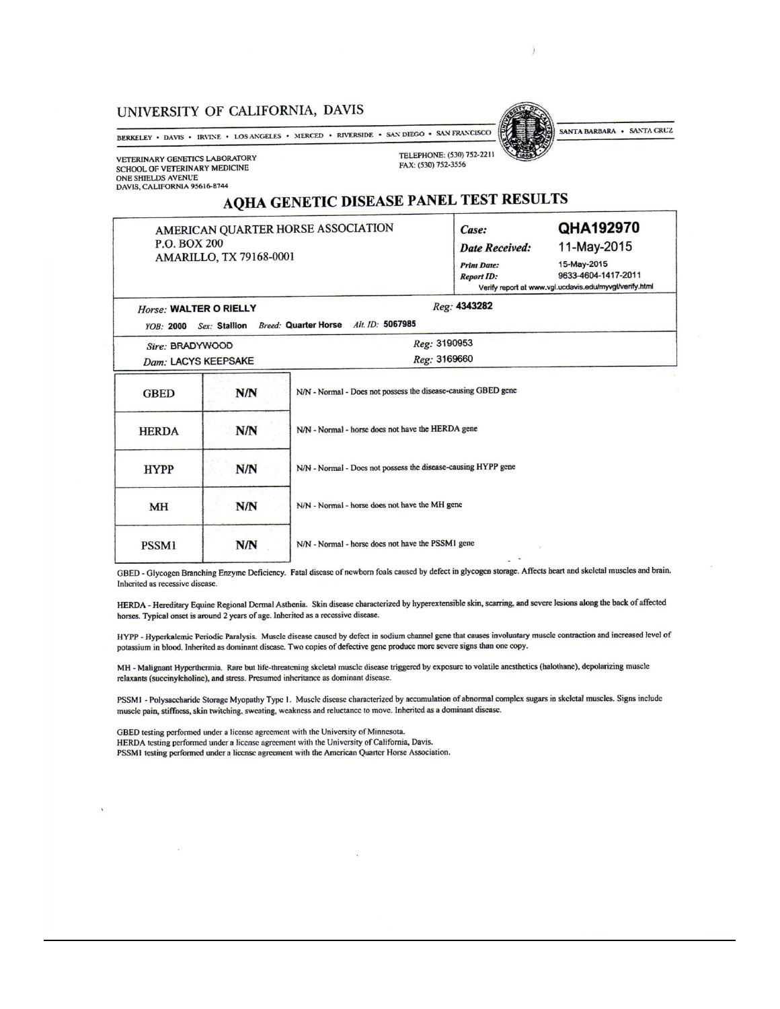### UNIVERSITY OF CALIFORNIA, DAVIS

BERKELEY • DAVIS • IRVINE • LOS ANGELES • MERCED • RIVERSIDE • SAN DIEGO • SAN FRANCISCO

**VETERINARY GENETICS LABORATORY** SCHOOL OF VETERINARY MEDICINE ONE SHIELDS AVENUE<br>DAVIS, CALIFORNIA 95616-8744

Horse: WALTER O RIELLY

MH

**PSSM1** 

TELEPHONE: (530) 752-2211 FAX: (530) 752-3556

# SANTA BARBARA . SANTA CRUZ

# AQHA GENETIC DISEASE PANEL TEST RESULTS

AMERICAN QUARTER HORSE ASSOCIATION P.O. BOX 200 AMARILLO, TX 79168-0001

 $N/N$ 

 $N/N$ 

| $1.001$ $\mu$  |             |  |  |
|----------------|-------------|--|--|
| Case:          | QHA192970   |  |  |
| Date Received: | 11-May-2015 |  |  |
| Print Date:    | 15-May-2015 |  |  |

**Report ID:** 9633-4604-1417-2011 Verify report at www.vgl.ucdavis.edu/myvgl/verify.html

Reg: 4343282

|                     |               | Alt. ID: 5067985                                              |  |
|---------------------|---------------|---------------------------------------------------------------|--|
| <b>YOB: 2000</b>    | Sex: Stallion | <b>Breed: Quarter Horse</b>                                   |  |
| Sire: BRADYWOOD     |               | Reg: 3190953                                                  |  |
| Dam: LACYS KEEPSAKE |               | Reg: 3169660                                                  |  |
| <b>GBED</b>         | N/N           | N/N - Normal - Does not possess the disease-causing GBED gene |  |
| <b>HERDA</b>        | N/N           | N/N - Normal - horse does not have the HERDA gene             |  |
| <b>HYPP</b>         | N/N           | N/N - Normal - Does not possess the disease-causing HYPP gene |  |

N/N - Normal - horse does not have the MH gene

N/N - Normal - horse does not have the PSSM1 gene

GBED - Glycogen Branching Enzyme Deficiency. Fatal disease of newborn foals caused by defect in glycogen storage. Affects heart and skeletal muscles and brain. Inherited as recessive disease.

HERDA - Hereditary Equine Regional Dermal Asthenia. Skin disease characterized by hyperextensible skin, scarring, and severe lesions along the back of affected horses. Typical onset is around 2 years of age. Inherited as a recessive disease.

HYPP - Hyperkalemic Periodic Paralysis. Muscle disease caused by defect in sodium channel gene that causes involuntary muscle contraction and increased level of potassium in blood. Inherited as dominant disease. Two copies of defective gene produce more severe signs than one copy.

MH - Malignant Hyperthermia. Rare but life-threatening skeletal muscle disease triggered by exposure to volatile anesthetics (halothane), depolarizing muscle relaxants (succinylcholine), and stress. Presumed inheritance as dominant disease.

PSSM1 - Polysaccharide Storage Myopathy Type 1. Muscle disease characterized by accumulation of abnormal complex sugars in skeletal muscles. Signs include muscle pain, stiffness, skin twitching, sweating, weakness and reluctance to move. Inherited as a dominant disease.

GBED testing performed under a license agreement with the University of Minnesota. HERDA testing performed under a license agreement with the University of California, Davis. PSSM1 testing performed under a license agreement with the American Quarter Horse Association.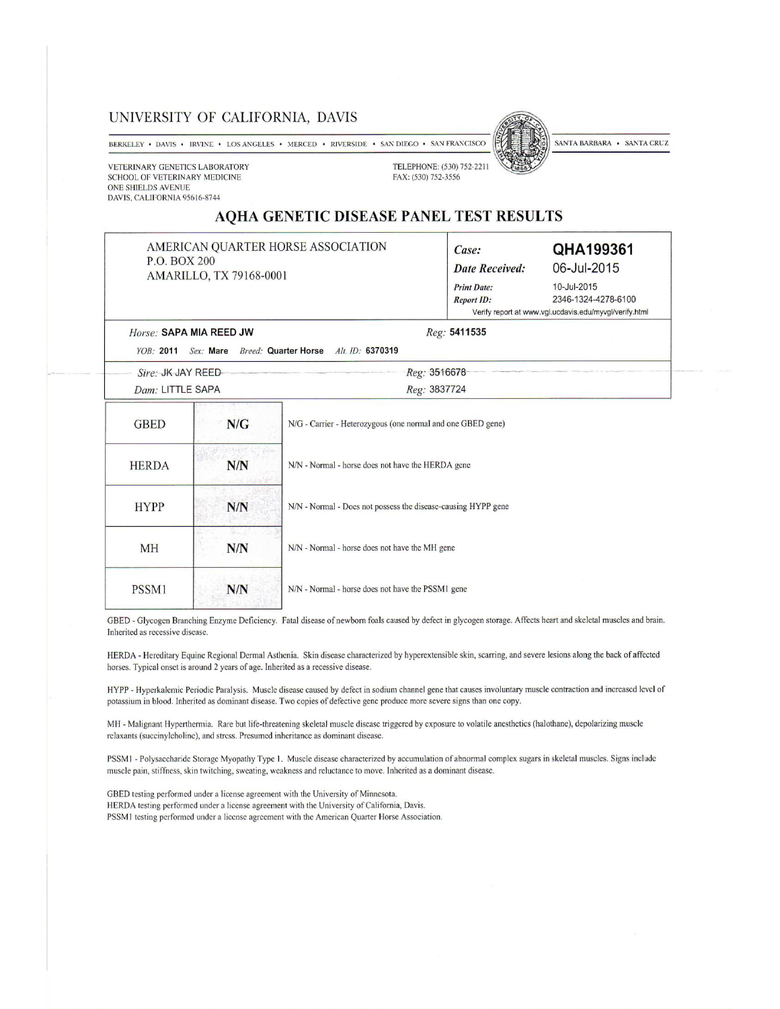### UNIVERSITY OF CALIFORNIA, DAVIS

BERKELEY • DAVIS • IRVINE • LOS ANGELES • MERCED • RIVERSIDE • SAN DIEGO • SAN FRANCISCO

VETERINARY GENETICS LABORATORY SCHOOL OF VETERINARY MEDICINE ONE SHIELDS AVENUE DAVIS, CALIFORNIA 95616-8744

TELEPHONE: (530) 752-2211 FAX: (530) 752-3556

SANTA BARBARA . SANTA CRUZ

### AQHA GENETIC DISEASE PANEL TEST RESULTS

| P.O. BOX 200                                |                         | AMERICAN QUARTER HORSE ASSOCIATION                            | Case:<br><b>Date Received:</b>          | QHA199361<br>06-Jul-2015                                                                     |  |
|---------------------------------------------|-------------------------|---------------------------------------------------------------|-----------------------------------------|----------------------------------------------------------------------------------------------|--|
|                                             | AMARILLO, TX 79168-0001 |                                                               | <b>Print Date:</b><br><b>Report ID:</b> | 10-Jul-2015<br>2346-1324-4278-6100<br>Verify report at www.vgl.ucdavis.edu/myvgl/verify.html |  |
| Horse: SAPA MIA REED JW<br><b>YOB: 2011</b> | Sex: Mare               | <b>Breed: Quarter Horse</b><br>Alt. ID: 6370319               | Reg: 5411535                            |                                                                                              |  |
| Sire: JK JAY REED                           |                         |                                                               | Reg: 3516678                            |                                                                                              |  |
| Dam: LITTLE SAPA                            |                         |                                                               | Reg: 3837724                            |                                                                                              |  |
| <b>GBED</b>                                 | N/G                     | N/G - Carrier - Heterozygous (one normal and one GBED gene)   |                                         |                                                                                              |  |
| <b>HERDA</b>                                | N/N                     | N/N - Normal - horse does not have the HERDA gene             |                                         |                                                                                              |  |
| <b>HYPP</b>                                 | N/N                     | N/N - Normal - Does not possess the disease-causing HYPP gene |                                         |                                                                                              |  |
| <b>MH</b>                                   | N/N                     | N/N - Normal - horse does not have the MH gene                |                                         |                                                                                              |  |
|                                             |                         | N/N - Normal - horse does not have the PSSM1 gene             |                                         |                                                                                              |  |

GBED - Glycogen Branching Enzyme Deficiency. Fatal disease of newborn foals caused by defect in glycogen storage. Affects heart and skeletal muscles and brain. Inherited as recessive disease.

HERDA - Hereditary Equine Regional Dermal Asthenia. Skin disease characterized by hyperextensible skin, scarring, and severe lesions along the back of affected horses. Typical onset is around 2 years of age. Inherited as a recessive disease.

HYPP - Hyperkalemic Periodic Paralysis. Muscle disease caused by defect in sodium channel gene that causes involuntary muscle contraction and increased level of potassium in blood. Inherited as dominant disease. Two copies of defective gene produce more severe signs than one copy.

MH - Malignant Hyperthermia. Rare but life-threatening skeletal muscle disease triggered by exposure to volatile anesthetics (halothane), depolarizing muscle relaxants (succinylcholine), and stress. Presumed inheritance as dominant disease.

PSSM1 - Polysaccharide Storage Myopathy Type 1. Muscle disease characterized by accumulation of abnormal complex sugars in skeletal muscles. Signs include muscle pain, stiffness, skin twitching, sweating, weakness and reluctance to move. Inherited as a dominant disease.

GBED testing performed under a license agreement with the University of Minnesota. HERDA testing performed under a license agreement with the University of California, Davis. PSSM1 testing performed under a license agreement with the American Quarter Horse Association.